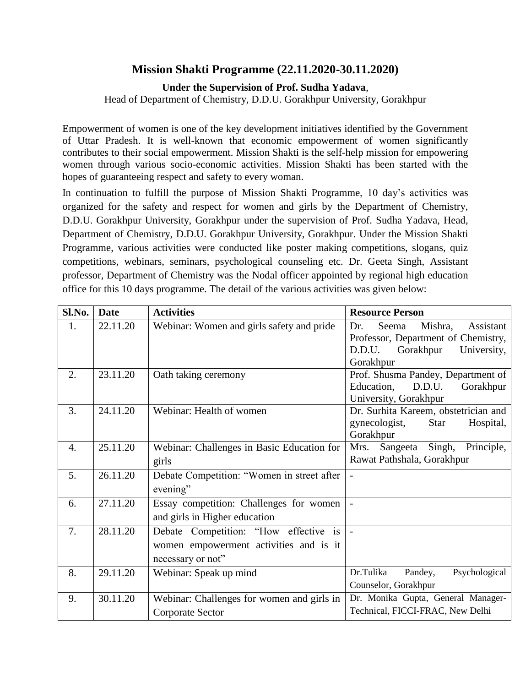## **Mission Shakti Programme (22.11.2020-30.11.2020)**

## **Under the Supervision of Prof. Sudha Yadava**,

Head of Department of Chemistry, D.D.U. Gorakhpur University, Gorakhpur

Empowerment of women is one of the key development initiatives identified by the Government of Uttar Pradesh. It is well-known that economic empowerment of women significantly contributes to their social empowerment. Mission Shakti is the self-help mission for empowering women through various socio-economic activities. Mission Shakti has been started with the hopes of guaranteeing respect and safety to every woman.

In continuation to fulfill the purpose of Mission Shakti Programme, 10 day's activities was organized for the safety and respect for women and girls by the Department of Chemistry, D.D.U. Gorakhpur University, Gorakhpur under the supervision of Prof. Sudha Yadava, Head, Department of Chemistry, D.D.U. Gorakhpur University, Gorakhpur. Under the Mission Shakti Programme, various activities were conducted like poster making competitions, slogans, quiz competitions, webinars, seminars, psychological counseling etc. Dr. Geeta Singh, Assistant professor, Department of Chemistry was the Nodal officer appointed by regional high education office for this 10 days programme. The detail of the various activities was given below:

| Sl.No. | <b>Date</b> | <b>Activities</b>                                                                                    | <b>Resource Person</b>                                                                                                         |
|--------|-------------|------------------------------------------------------------------------------------------------------|--------------------------------------------------------------------------------------------------------------------------------|
| 1.     | 22.11.20    | Webinar: Women and girls safety and pride                                                            | Seema<br>Assistant<br>Dr.<br>Mishra,<br>Professor, Department of Chemistry,<br>Gorakhpur<br>D.D.U.<br>University,<br>Gorakhpur |
| 2.     | 23.11.20    | Oath taking ceremony                                                                                 | Prof. Shusma Pandey, Department of<br>Education,<br>D.D.U.<br>Gorakhpur<br>University, Gorakhpur                               |
| 3.     | 24.11.20    | Webinar: Health of women                                                                             | Dr. Surhita Kareem, obstetrician and<br>gynecologist,<br>Star<br>Hospital,<br>Gorakhpur                                        |
| 4.     | 25.11.20    | Webinar: Challenges in Basic Education for<br>girls                                                  | Mrs. Sangeeta Singh, Principle,<br>Rawat Pathshala, Gorakhpur                                                                  |
| 5.     | 26.11.20    | Debate Competition: "Women in street after<br>evening"                                               | $\overline{a}$                                                                                                                 |
| 6.     | 27.11.20    | Essay competition: Challenges for women<br>and girls in Higher education                             |                                                                                                                                |
| 7.     | 28.11.20    | Debate Competition: "How effective is<br>women empowerment activities and is it<br>necessary or not" |                                                                                                                                |
| 8.     | 29.11.20    | Webinar: Speak up mind                                                                               | Dr.Tulika<br>Pandey,<br>Psychological<br>Counselor, Gorakhpur                                                                  |
| 9.     | 30.11.20    | Webinar: Challenges for women and girls in<br>Corporate Sector                                       | Dr. Monika Gupta, General Manager-<br>Technical, FICCI-FRAC, New Delhi                                                         |